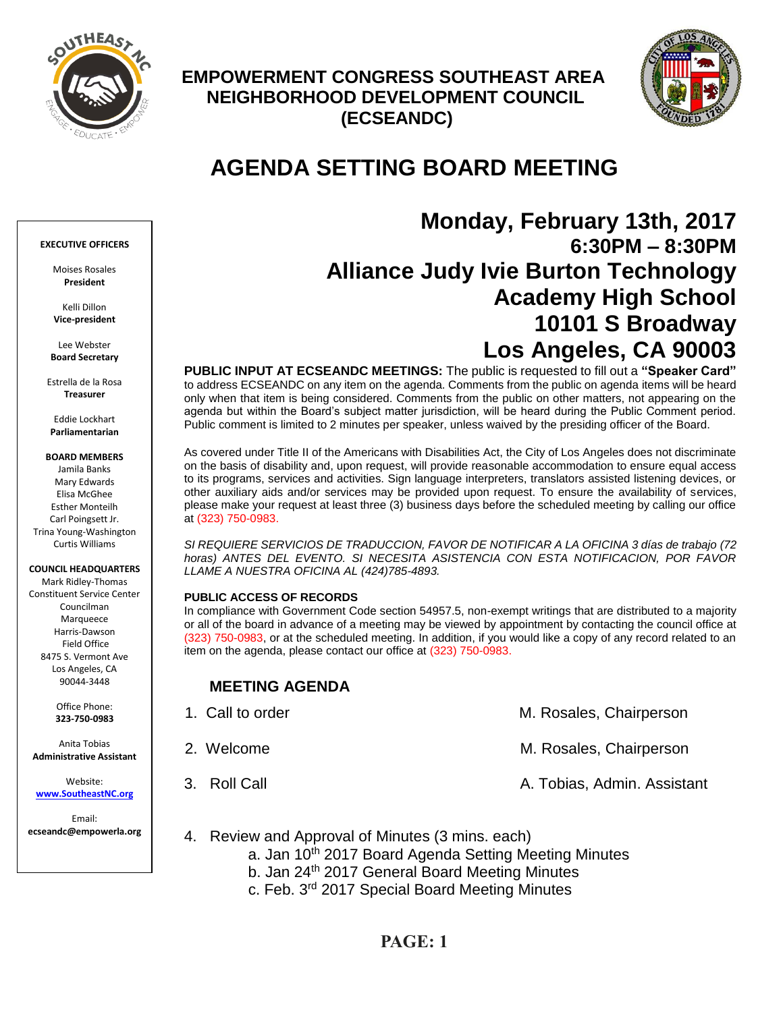

## **EMPOWERMENT CONGRESS SOUTHEAST AREA NEIGHBORHOOD DEVELOPMENT COUNCIL (ECSEANDC)**



# **AGENDA SETTING BOARD MEETING**

## **Monday, February 13th, 2017 6:30PM – 8:30PM Alliance Judy Ivie Burton Technology Academy High School 10101 S Broadway Los Angeles, CA 90003**

**PUBLIC INPUT AT ECSEANDC MEETINGS:** The public is requested to fill out a **"Speaker Card"**  to address ECSEANDC on any item on the agenda. Comments from the public on agenda items will be heard only when that item is being considered. Comments from the public on other matters, not appearing on the agenda but within the Board's subject matter jurisdiction, will be heard during the Public Comment period. Public comment is limited to 2 minutes per speaker, unless waived by the presiding officer of the Board.

As covered under Title II of the Americans with Disabilities Act, the City of Los Angeles does not discriminate on the basis of disability and, upon request, will provide reasonable accommodation to ensure equal access to its programs, services and activities. Sign language interpreters, translators assisted listening devices, or other auxiliary aids and/or services may be provided upon request. To ensure the availability of services, please make your request at least three (3) business days before the scheduled meeting by calling our office at (323) 750-0983.

*SI REQUIERE SERVICIOS DE TRADUCCION, FAVOR DE NOTIFICAR A LA OFICINA 3 días de trabajo (72*  horas) ANTES DEL EVENTO. SI NECESITA ASISTENCIA CON ESTA NOTIFICACION, POR FAVOR *LLAME A NUESTRA OFICINA AL (424)785-4893.*

### **PUBLIC ACCESS OF RECORDS**

In compliance with Government Code section 54957.5, non-exempt writings that are distributed to a majority or all of the board in advance of a meeting may be viewed by appointment by contacting the council office at (323) 750-0983, or at the scheduled meeting. In addition, if you would like a copy of any record related to an item on the agenda, please contact our office at (323) 750-0983.

## **MEETING AGENDA**

| 1. Call to order | M. Rosales, Chairperson     |
|------------------|-----------------------------|
| 2. Welcome       | M. Rosales, Chairperson     |
| 3. Roll Call     | A. Tobias, Admin. Assistant |

- 4. Review and Approval of Minutes (3 mins. each)
	- a. Jan 10<sup>th</sup> 2017 Board Agenda Setting Meeting Minutes
	- b. Jan 24<sup>th</sup> 2017 General Board Meeting Minutes
	- c. Feb. 3rd 2017 Special Board Meeting Minutes

#### **EXECUTIVE OFFICERS**

Moises Rosales **President**

Kelli Dillon **Vice-president**

Lee Webster **Board Secretary**

Estrella de la Rosa **Treasurer**

Eddie Lockhart **Parliamentarian**

### **BOARD MEMBERS**

Jamila Banks Mary Edwards Elisa McGhee Esther Monteilh Carl Poingsett Jr. Trina Young-Washington Curtis Williams

#### **COUNCIL HEADQUARTERS**

Mark Ridley-Thomas Constituent Service Center Councilman Marqueece Harris-Dawson Field Office 8475 S. Vermont Ave Los Angeles, CA 90044-3448

> Office Phone: **323-750-0983**

Anita Tobias **Administrative Assistant**

Website: **[www.SoutheastNC.org](http://www.ecseandc.org/)**

Email: **ecseandc@empowerla.org**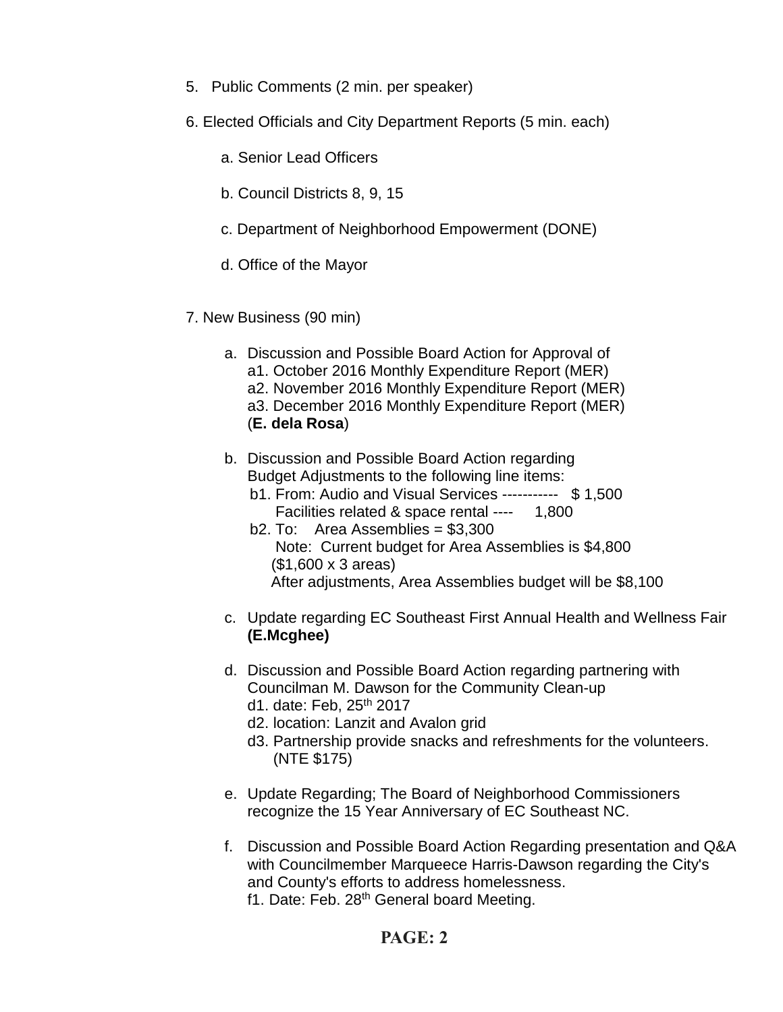- 5. Public Comments (2 min. per speaker)
- 6. Elected Officials and City Department Reports (5 min. each)
	- a. Senior Lead Officers
	- b. Council Districts 8, 9, 15
	- c. Department of Neighborhood Empowerment (DONE)
	- d. Office of the Mayor
- 7. New Business (90 min)
	- a. Discussion and Possible Board Action for Approval of a1. October 2016 Monthly Expenditure Report (MER) a2. November 2016 Monthly Expenditure Report (MER) a3. December 2016 Monthly Expenditure Report (MER) (**E. dela Rosa**)
	- b. Discussion and Possible Board Action regarding Budget Adjustments to the following line items:
		- b1. From: Audio and Visual Services ----------- \$ 1,500 Facilities related & space rental ---- 1,800
		- b2. To: Area Assemblies = \$3,300 Note: Current budget for Area Assemblies is \$4,800 (\$1,600 x 3 areas) After adjustments, Area Assemblies budget will be \$8,100
	- c. Update regarding EC Southeast First Annual Health and Wellness Fair **(E.Mcghee)**
	- d. Discussion and Possible Board Action regarding partnering with Councilman M. Dawson for the Community Clean-up d1. date: Feb, 25<sup>th</sup> 2017
		- d2. location: Lanzit and Avalon grid
		- d3. Partnership provide snacks and refreshments for the volunteers. (NTE \$175)
	- e. Update Regarding; The Board of Neighborhood Commissioners recognize the 15 Year Anniversary of EC Southeast NC.
	- f. Discussion and Possible Board Action Regarding presentation and Q&A with Councilmember Marqueece Harris-Dawson regarding the City's and County's efforts to address homelessness. f1. Date: Feb. 28<sup>th</sup> General board Meeting.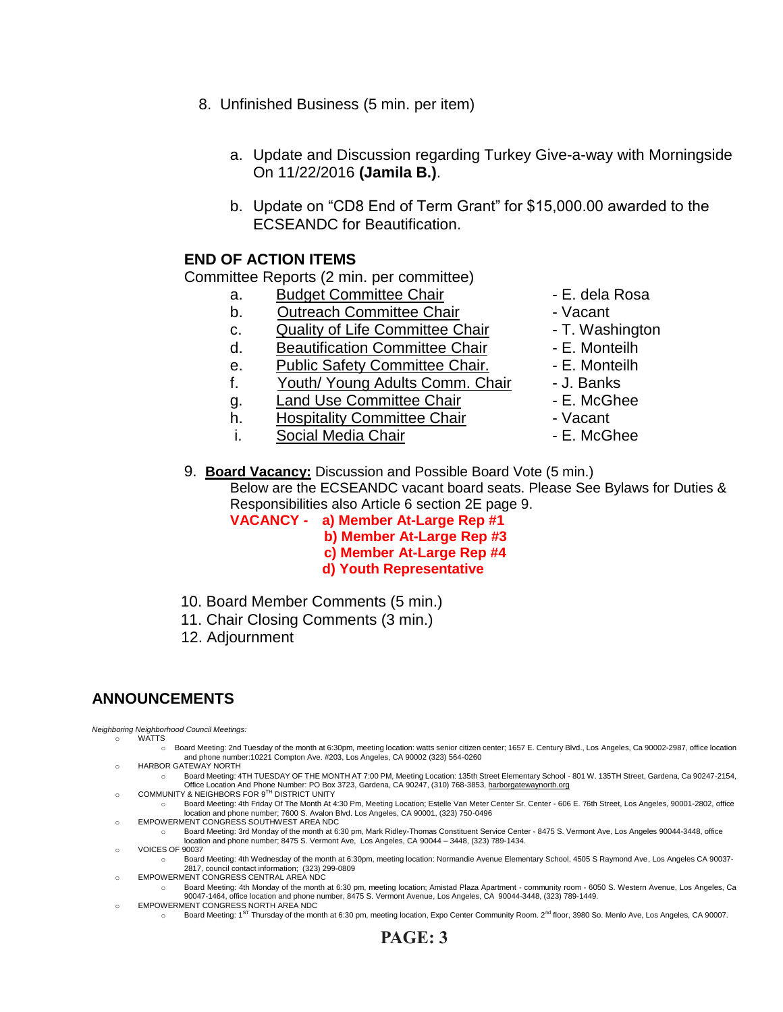- 8. Unfinished Business (5 min. per item)
	- a. Update and Discussion regarding Turkey Give-a-way with Morningside On 11/22/2016 **(Jamila B.)**.
	- b. Update on "CD8 End of Term Grant" for \$15,000.00 awarded to the ECSEANDC for Beautification.

## **END OF ACTION ITEMS**

Committee Reports (2 min. per committee)

- a. Budget Committee Chair  **E. dela Rosa**
- b. Outreach Committee Chair **Dans** Vacant
- c. Quality of Life Committee Chair T. Washington
- d. Beautification Committee Chair Fame E. Monteilh
- e. Public Safety Committee Chair. E. Monteilh
- f. Youth/ Young Adults Comm. Chair J. Banks
- q. Land Use Committee Chair **E. McGhee**
- h. Hospitality Committee Chair  **Vacant**
- i. Social Media Chair **Chair** F. McGhee
- 
- 
- 
- 
- 
- 
- 
- 
- 
- 9. **Board Vacancy:** Discussion and Possible Board Vote (5 min.) Below are the ECSEANDC vacant board seats. Please See Bylaws for Duties & Responsibilities also Article 6 section 2E page 9.

**VACANCY - a) Member At-Large Rep #1**

- **b) Member At-Large Rep #3**
	- **c) Member At-Large Rep #4**
	- **d) Youth Representative**
- 10. Board Member Comments (5 min.)
- 11. Chair Closing Comments (3 min.)
- 12. Adjournment

## **ANNOUNCEMENTS**

*Neighboring Neighborhood Council Meetings:* o WATTS

- o Board Meeting: 2nd Tuesday of the month at 6:30pm, meeting location: watts senior citizen center; 1657 E. Century Blvd., Los Angeles, Ca 90002-2987, office location and phone number:10221 Compton Ave. #203, Los Angeles, CA 90002 (323) 564-0260
- o HARBOR GATEWAY NORTH
- o Board Meeting: 4TH TUESDAY OF THE MONTH AT 7:00 PM, Meeting Location: 135th Street Elementary School 801 W. 135TH Street, Gardena, Ca 90247-2154, om Coffice Location And Phone Number: PO Box 3723, Gardena, CA 90247, (310) 768-3853, <u>harborgatewaynorth.org وC</u>OMMUNITY & NEIGHBORS FOR 9<sup>TH</sup> DISTRICT UNITY
	-
	- o Board Meeting: 4th Friday Of The Month At 4:30 Pm, Meeting Location; Estelle Van Meter Center Sr. Center 606 E. 76th Street, Los Angeles, 90001-2802, office location and phone number; 7600 S. Avalon Blvd. Los Angeles, CA 90001, (323) 750-0496
- o EMPOWERMENT CONGRESS SOUTHWEST AREA NDC
- o Board Meeting: 3rd Monday of the month at 6:30 pm, Mark Ridley-Thomas Constituent Service Center 8475 S. Vermont Ave, Los Angeles 90044-3448, office<br>location and phone number; 8475 S. Vermont Ave, Los Angeles, CA 9004 o VOICES OF 90037
- Board Meeting: 4th Wednesday of the month at 6:30pm, meeting location: Normandie Avenue Elementary School, 4505 S Raymond Ave, Los Angeles CA 90037-2817, council contact information; (323) 299-0809
- o EMPOWERMENT CONGRESS CENTRAL AREA NDC
	- o Board Meeting: 4th Monday of the month at 6:30 pm, meeting location; Amistad Plaza Apartment community room 6050 S. Western Avenue, Los Angeles, Ca 90047-1464, office location and phone number, 8475 S. Vermont Avenue, Los Angeles, CA 90044-3448, (323) 789-1449.
- o EMPOWERMENT CONGRESS NORTH AREA NDC
	- o Board Meeting: 1<sup>8T</sup> Thursday of the month at 6:30 pm, meeting location, Expo Center Community Room. 2<sup>nd</sup> floor, 3980 So. Menlo Ave, Los Angeles, CA 90007.